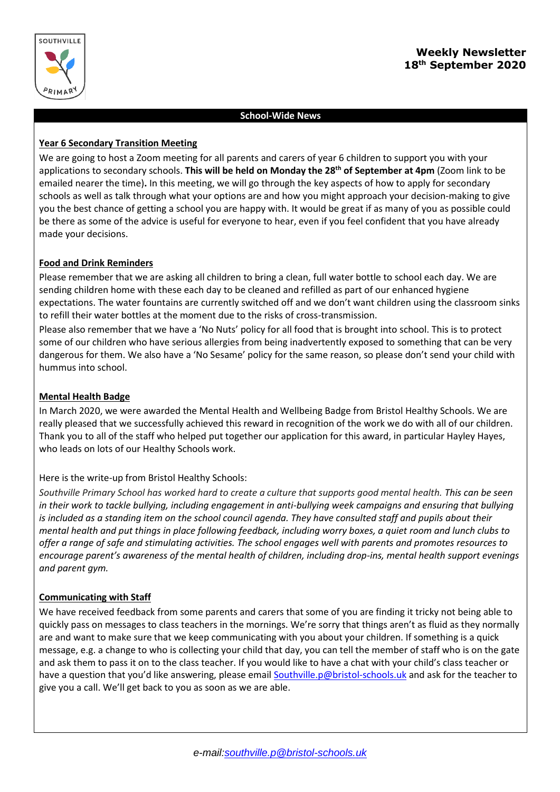

# **Weekly Newsletter 18th September 2020**

### **School-Wide News**

### **Year 6 Secondary Transition Meeting**

We are going to host a Zoom meeting for all parents and carers of year 6 children to support you with your applications to secondary schools. **This will be held on Monday the 28th of September at 4pm** (Zoom link to be emailed nearer the time)**.** In this meeting, we will go through the key aspects of how to apply for secondary schools as well as talk through what your options are and how you might approach your decision-making to give you the best chance of getting a school you are happy with. It would be great if as many of you as possible could be there as some of the advice is useful for everyone to hear, even if you feel confident that you have already made your decisions.

### **Food and Drink Reminders**

Please remember that we are asking all children to bring a clean, full water bottle to school each day. We are sending children home with these each day to be cleaned and refilled as part of our enhanced hygiene expectations. The water fountains are currently switched off and we don't want children using the classroom sinks to refill their water bottles at the moment due to the risks of cross-transmission.

Please also remember that we have a 'No Nuts' policy for all food that is brought into school. This is to protect some of our children who have serious allergies from being inadvertently exposed to something that can be very dangerous for them. We also have a 'No Sesame' policy for the same reason, so please don't send your child with hummus into school.

### **Mental Health Badge**

In March 2020, we were awarded the Mental Health and Wellbeing Badge from Bristol Healthy Schools. We are really pleased that we successfully achieved this reward in recognition of the work we do with all of our children. Thank you to all of the staff who helped put together our application for this award, in particular Hayley Hayes, who leads on lots of our Healthy Schools work.

## Here is the write-up from Bristol Healthy Schools:

*Southville Primary School has worked hard to create a culture that supports good mental health. This can be seen in their work to tackle bullying, including engagement in anti-bullying week campaigns and ensuring that bullying is included as a standing item on the school council agenda. They have consulted staff and pupils about their mental health and put things in place following feedback, including worry boxes, a quiet room and lunch clubs to offer a range of safe and stimulating activities. The school engages well with parents and promotes resources to encourage parent's awareness of the mental health of children, including drop-ins, mental health support evenings and parent gym.* 

### **Communicating with Staff**

We have received feedback from some parents and carers that some of you are finding it tricky not being able to quickly pass on messages to class teachers in the mornings. We're sorry that things aren't as fluid as they normally are and want to make sure that we keep communicating with you about your children. If something is a quick message, e.g. a change to who is collecting your child that day, you can tell the member of staff who is on the gate and ask them to pass it on to the class teacher. If you would like to have a chat with your child's class teacher or have a question that you'd like answering, please email [Southville.p@bristol-schools.uk](mailto:Southville.p@bristol-schools.uk) and ask for the teacher to give you a call. We'll get back to you as soon as we are able.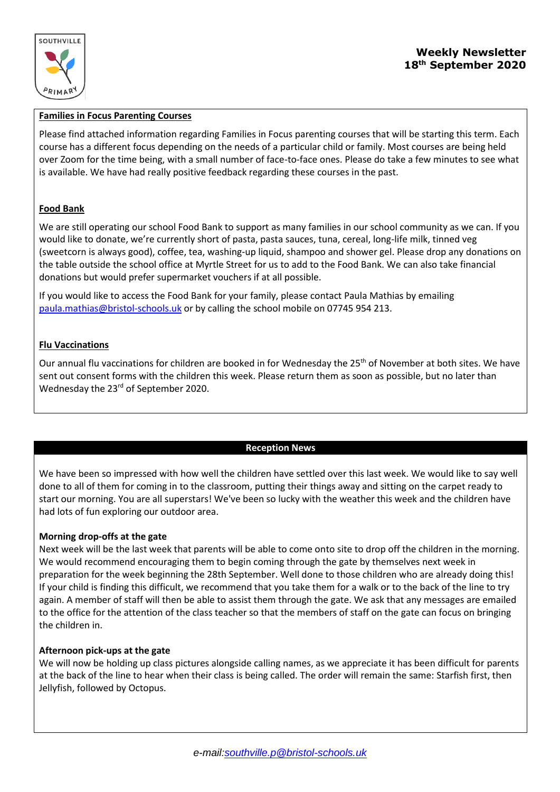

# **Weekly Newsletter 18th September 2020**

### **Families in Focus Parenting Courses**

Please find attached information regarding Families in Focus parenting courses that will be starting this term. Each course has a different focus depending on the needs of a particular child or family. Most courses are being held over Zoom for the time being, with a small number of face-to-face ones. Please do take a few minutes to see what is available. We have had really positive feedback regarding these courses in the past.

### **Food Bank**

We are still operating our school Food Bank to support as many families in our school community as we can. If you would like to donate, we're currently short of pasta, pasta sauces, tuna, cereal, long-life milk, tinned veg (sweetcorn is always good), coffee, tea, washing-up liquid, shampoo and shower gel. Please drop any donations on the table outside the school office at Myrtle Street for us to add to the Food Bank. We can also take financial donations but would prefer supermarket vouchers if at all possible.

If you would like to access the Food Bank for your family, please contact Paula Mathias by emailing [paula.mathias@bristol-schools.uk](mailto:paula.mathias@bristol-schools.uk) or by calling the school mobile on 07745 954 213.

### **Flu Vaccinations**

Our annual flu vaccinations for children are booked in for Wednesday the 25<sup>th</sup> of November at both sites. We have sent out consent forms with the children this week. Please return them as soon as possible, but no later than Wednesday the 23<sup>rd</sup> of September 2020.

### **Reception News**

We have been so impressed with how well the children have settled over this last week. We would like to say well done to all of them for coming in to the classroom, putting their things away and sitting on the carpet ready to start our morning. You are all superstars! We've been so lucky with the weather this week and the children have had lots of fun exploring our outdoor area.

### **Morning drop-offs at the gate**

Next week will be the last week that parents will be able to come onto site to drop off the children in the morning. We would recommend encouraging them to begin coming through the gate by themselves next week in preparation for the week beginning the 28th September. Well done to those children who are already doing this! If your child is finding this difficult, we recommend that you take them for a walk or to the back of the line to try again. A member of staff will then be able to assist them through the gate. We ask that any messages are emailed to the office for the attention of the class teacher so that the members of staff on the gate can focus on bringing the children in.

### **Afternoon pick-ups at the gate**

We will now be holding up class pictures alongside calling names, as we appreciate it has been difficult for parents at the back of the line to hear when their class is being called. The order will remain the same: Starfish first, then Jellyfish, followed by Octopus.